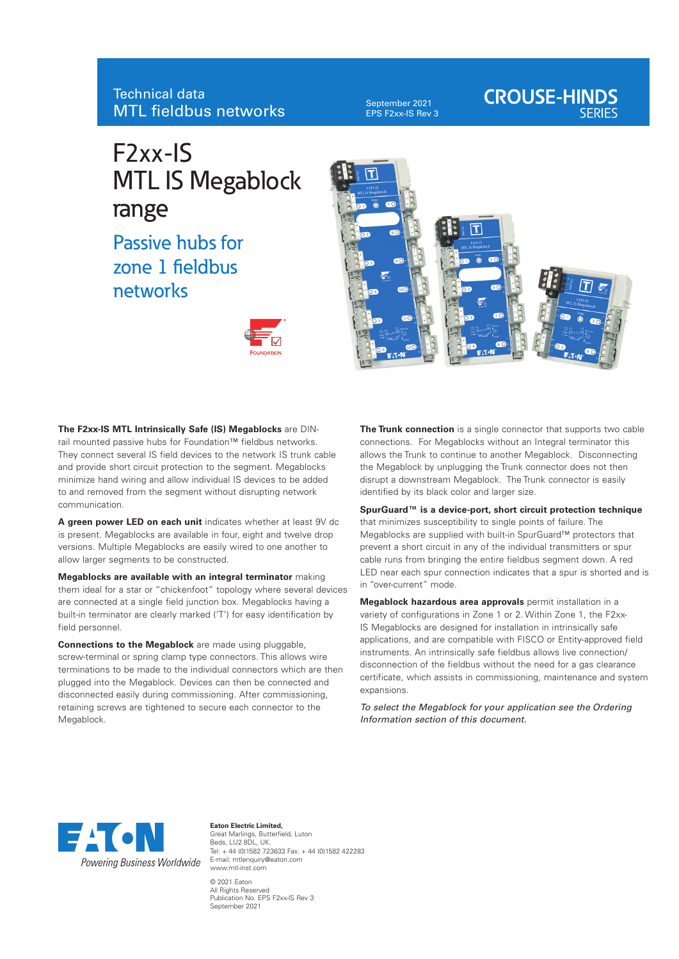## Technical data MTL fieldbus networks

September 2021 EPS F2xx-IS Rev 3

# **CROUSE-HINDS**

## F2xx-IS MTL IS Megablock range

Passive hubs for zone 1 fieldbus networks





**The F2xx-IS MTL Intrinsically Safe (IS) Megablocks** are DINrail mounted passive hubs for Foundation™ fieldbus networks. They connect several IS field devices to the network IS trunk cable and provide short circuit protection to the segment. Megablocks minimize hand wiring and allow individual IS devices to be added to and removed from the segment without disrupting network communication.

**A green power LED on each unit** indicates whether at least 9V dc is present. Megablocks are available in four, eight and twelve drop versions. Multiple Megablocks are easily wired to one another to allow larger segments to be constructed.

**Megablocks are available with an integral terminator** making them ideal for a star or "chickenfoot" topology where several devices are connected at a single field junction box. Megablocks having a built-in terminator are clearly marked ('T') for easy identification by field personnel.

**Connections to the Megablock** are made using pluggable, screw-terminal or spring clamp type connectors. This allows wire terminations to be made to the individual connectors which are then plugged into the Megablock. Devices can then be connected and disconnected easily during commissioning. After commissioning, retaining screws are tightened to secure each connector to the Megablock.

**The Trunk connection** is a single connector that supports two cable connections. For Megablocks without an Integral terminator this allows the Trunk to continue to another Megablock. Disconnecting the Megablock by unplugging the Trunk connector does not then disrupt a downstream Megablock. The Trunk connector is easily identified by its black color and larger size.

**SpurGuard™ is a device-port, short circuit protection technique** that minimizes susceptibility to single points of failure. The Megablocks are supplied with built-in SpurGuard™ protectors that prevent a short circuit in any of the individual transmitters or spur cable runs from bringing the entire fieldbus segment down. A red LED near each spur connection indicates that a spur is shorted and is in "over-current" mode.

**Megablock hazardous area approvals** permit installation in a variety of configurations in Zone 1 or 2. Within Zone 1, the F2xx-IS Megablocks are designed for installation in intrinsically safe applications, and are compatible with FISCO or Entity-approved field instruments. An intrinsically safe fieldbus allows live connection/ disconnection of the fieldbus without the need for a gas clearance certificate, which assists in commissioning, maintenance and system expansions.

*To select the Megablock for your application see the Ordering Information section of this document.*



**Eaton Electric Limited,** Great Marlings, Butterfield, Luton Beds, LU2 8DL, UK. Tel: + 44 (0)1582 723633 Fax: + 44 (0)1582 422283 E-mail: mtlenquiry@eaton.com www.mtl-inst.com © 2021 Eaton All Rights Reserved Publication No. EPS F2xx-IS Rev 3

September 2021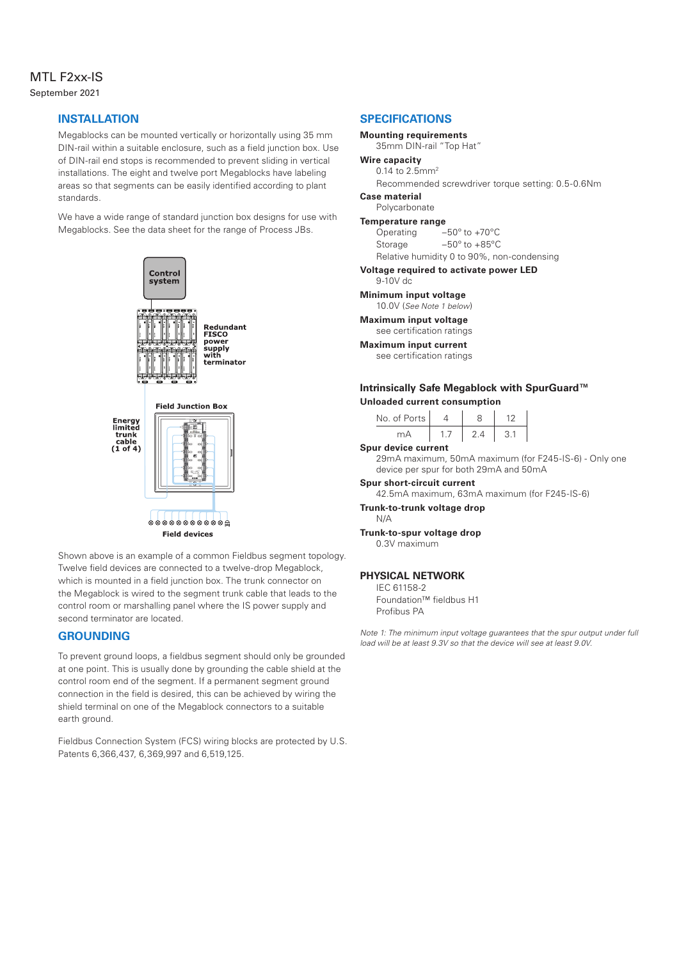## MTL F2xx-IS September 2021

## **INSTALLATION**

Megablocks can be mounted vertically or horizontally using 35 mm DIN-rail within a suitable enclosure, such as a field junction box. Use of DIN-rail end stops is recommended to prevent sliding in vertical installations. The eight and twelve port Megablocks have labeling areas so that segments can be easily identified according to plant standards.

We have a wide range of standard junction box designs for use with Megablocks. See the data sheet for the range of Process JBs.



Shown above is an example of a common Fieldbus segment topology. Twelve field devices are connected to a twelve-drop Megablock, which is mounted in a field junction box. The trunk connector on the Megablock is wired to the segment trunk cable that leads to the control room or marshalling panel where the IS power supply and second terminator are located.

## **GROUNDING**

To prevent ground loops, a fieldbus segment should only be grounded at one point. This is usually done by grounding the cable shield at the control room end of the segment. If a permanent segment ground connection in the field is desired, this can be achieved by wiring the shield terminal on one of the Megablock connectors to a suitable earth ground.

Fieldbus Connection System (FCS) wiring blocks are protected by U.S. Patents 6,366,437, 6,369,997 and 6,519,125.

## **SPECIFICATIONS**

## **Mounting requirements**

35mm DIN-rail "Top Hat"

## **Wire capacity**

0.14 to 2.5mm2

Recommended screwdriver torque setting: 0.5-0.6Nm **Case material**

## Polycarbonate

**Temperature range**

Operating –50º to +70ºC Storage –50º to +85ºC

Relative humidity 0 to 90%, non-condensing

## **Voltage required to activate power LED**

9-10V dc

## **Minimum input voltage**

10.0V (*See Note 1 below*)

#### **Maximum input voltage** see certification ratings

**Maximum input current**

see certification ratings

## **Intrinsically Safe Megablock with SpurGuard™ Unloaded current consumption**

| No. of Ports |  |  |
|--------------|--|--|
|              |  |  |

#### **Spur device current**

29mA maximum, 50mA maximum (for F245-IS-6) - Only one device per spur for both 29mA and 50mA

## **Spur short-circuit current**

42.5mA maximum, 63mA maximum (for F245-IS-6)

### **Trunk-to-trunk voltage drop**

N/A

#### **Trunk-to-spur voltage drop** 0.3V maximum

## **PHYSICAL NETWORK**

IEC 61158-2 Foundation™ fieldbus H1 Profibus PA

*Note 1: The minimum input voltage quarantees that the spur output under full load will be at least 9.3V so that the device will see at least 9.0V.*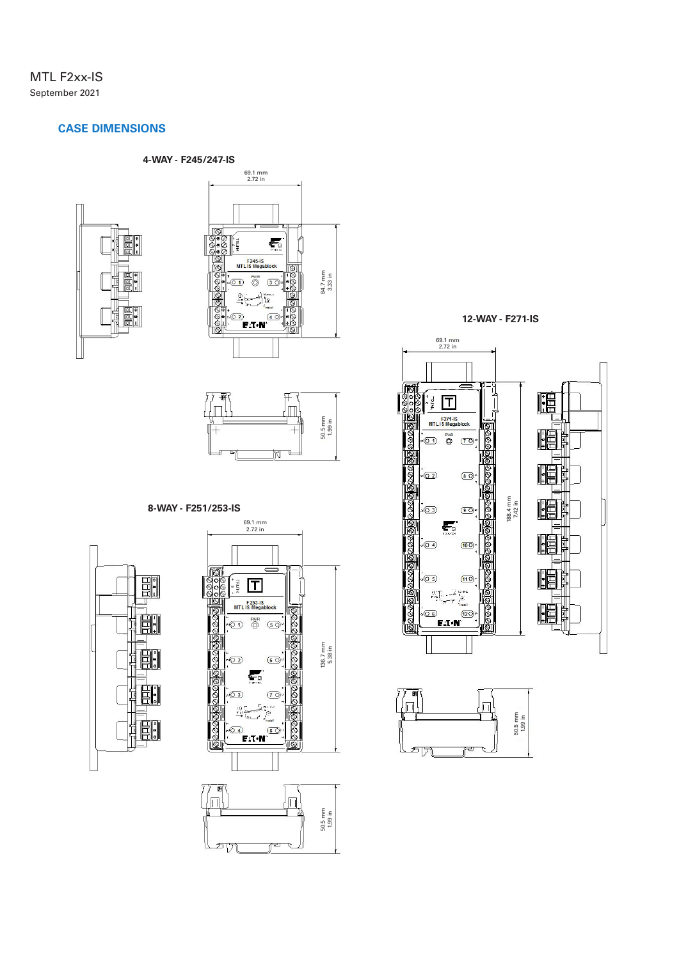## MTL F2xx-IS September 2021

## **CASE DIMENSIONS**







## **8-WAY - F251/253-IS**





**12-WAY - F271-IS**